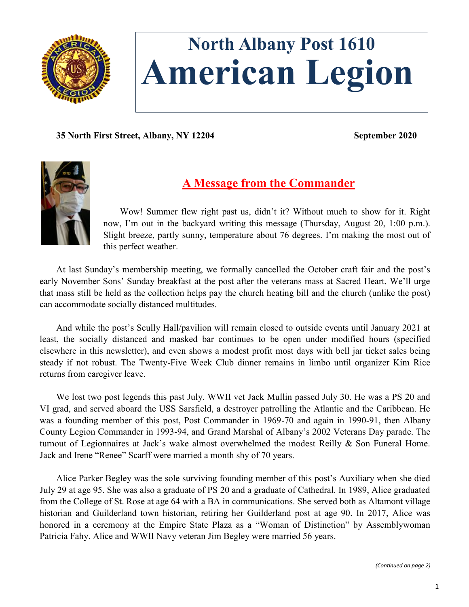

# **North Albany Post 1610 American Legion**

**35 North First Street, Albany, NY 12204 September 2020**



# **A Message from the Commander**

Wow! Summer flew right past us, didn't it? Without much to show for it. Right now, I'm out in the backyard writing this message (Thursday, August 20, 1:00 p.m.). Slight breeze, partly sunny, temperature about 76 degrees. I'm making the most out of this perfect weather.

At last Sunday's membership meeting, we formally cancelled the October craft fair and the post's early November Sons' Sunday breakfast at the post after the veterans mass at Sacred Heart. We'll urge that mass still be held as the collection helps pay the church heating bill and the church (unlike the post) can accommodate socially distanced multitudes.

And while the post's Scully Hall/pavilion will remain closed to outside events until January 2021 at least, the socially distanced and masked bar continues to be open under modified hours (specified elsewhere in this newsletter), and even shows a modest profit most days with bell jar ticket sales being steady if not robust. The Twenty-Five Week Club dinner remains in limbo until organizer Kim Rice returns from caregiver leave.

We lost two post legends this past July. WWII vet Jack Mullin passed July 30. He was a PS 20 and VI grad, and served aboard the USS Sarsfield, a destroyer patrolling the Atlantic and the Caribbean. He was a founding member of this post, Post Commander in 1969-70 and again in 1990-91, then Albany County Legion Commander in 1993-94, and Grand Marshal of Albany's 2002 Veterans Day parade. The turnout of Legionnaires at Jack's wake almost overwhelmed the modest Reilly & Son Funeral Home. Jack and Irene "Renee" Scarff were married a month shy of 70 years.

Alice Parker Begley was the sole surviving founding member of this post's Auxiliary when she died July 29 at age 95. She was also a graduate of PS 20 and a graduate of Cathedral. In 1989, Alice graduated from the College of St. Rose at age 64 with a BA in communications. She served both as Altamont village historian and Guilderland town historian, retiring her Guilderland post at age 90. In 2017, Alice was honored in a ceremony at the Empire State Plaza as a "Woman of Distinction" by Assemblywoman Patricia Fahy. Alice and WWII Navy veteran Jim Begley were married 56 years.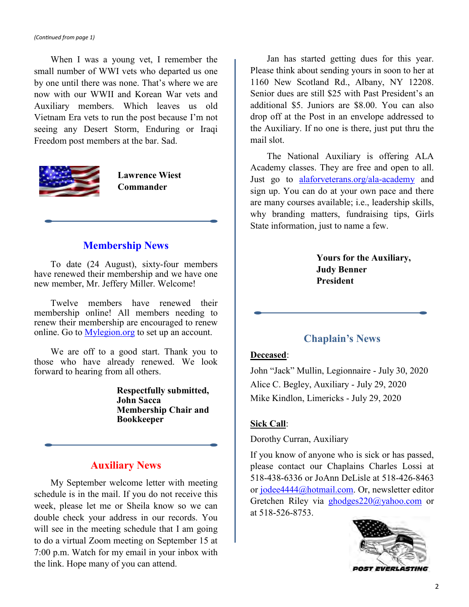When I was a young vet, I remember the small number of WWI vets who departed us one by one until there was none. That's where we are now with our WWII and Korean War vets and Auxiliary members. Which leaves us old Vietnam Era vets to run the post because I'm not seeing any Desert Storm, Enduring or Iraqi Freedom post members at the bar. Sad.



**Lawrence Wiest Commander**

### **Membership News**

To date (24 August), sixty-four members have renewed their membership and we have one new member, Mr. Jeffery Miller. Welcome!

Twelve members have renewed their membership online! All members needing to renew their membership are encouraged to renew online. Go to [Mylegion.org](https://www.Mylegion.org) to set up an account.

We are off to a good start. Thank you to those who have already renewed. We look forward to hearing from all others.

> **Respectfully submitted, John Sacca Membership Chair and Bookkeeper**

## **Auxiliary News**

My September welcome letter with meeting schedule is in the mail. If you do not receive this week, please let me or Sheila know so we can double check your address in our records. You will see in the meeting schedule that I am going to do a virtual Zoom meeting on September 15 at 7:00 p.m. Watch for my email in your inbox with the link. Hope many of you can attend.

Jan has started getting dues for this year. Please think about sending yours in soon to her at 1160 New Scotland Rd., Albany, NY 12208. Senior dues are still \$25 with Past President's an additional \$5. Juniors are \$8.00. You can also drop off at the Post in an envelope addressed to the Auxiliary. If no one is there, just put thru the mail slot.

The National Auxiliary is offering ALA Academy classes. They are free and open to all. Just go to [alaforveterans.org/ala](https://www.alaforveterans.org/ala-academy)-academy and sign up. You can do at your own pace and there are many courses available; i.e., leadership skills, why branding matters, fundraising tips, Girls State information, just to name a few.

> **Yours for the Auxiliary, Judy Benner President**

## **Chaplain's News**

### **Deceased**:

John "Jack" Mullin, Legionnaire - July 30, 2020 Alice C. Begley, Auxiliary - July 29, 2020 Mike Kindlon, Limericks - July 29, 2020

### **Sick Call**:

Dorothy Curran, Auxiliary

If you know of anyone who is sick or has passed, please contact our Chaplains Charles Lossi at 518-438-6336 or JoAnn DeLisle at 518-426-8463 or [jodee4444@hotmail.com.](mailto:jodee4444@hotmail.com) Or, newsletter editor Gretchen Riley via [ghodges220@yahoo.com](mailto:ghodges220@yahoo.com) or at 518-526-8753.



**POST EVERLASTING**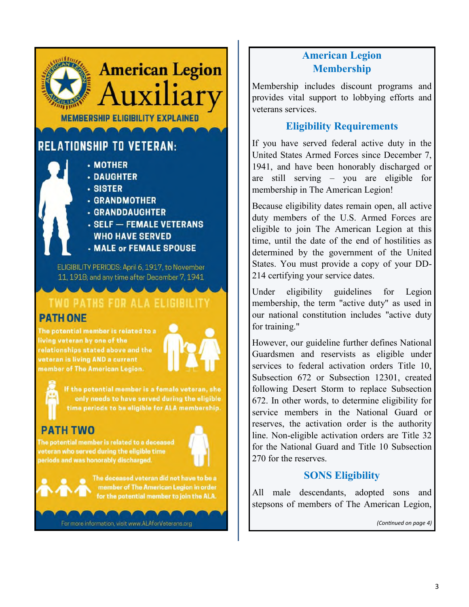# **American Legion MEMBERSHIP ELIGIBILITY EXPLAINED**

# **RELATIONSHIP TO VETERAN:**

- MOTHER

- **· DAUGHTER**
- SISTER
- **GRANDMOTHER**
- **· GRANDDAUGHTER**
- **SELF FEMALE VETERANS WHO HAVE SERVED**
- **MALE or FEMALE SPOUSE**

ELIGIBILITY PERIODS: April 6, 1917, to November 11, 1918; and any time after December 7, 1941

# TWO PATHS FOR ALA ELIGIBILITY **PATH ONE**

The potential member is related to a living veteran by one of the relationships stated above and the veteran is living AND a current member of The American Legion.



If the potential member is a female veteran, she only needs to have served during the eligible time periods to be eligible for ALA membership.

# PATH TWO

The potential member is related to a deceased veteran who served during the eligible time periods and was honorably discharged.





The deceased veteran did not have to be a nember of The American Legion in order for the potential member to join the ALA.

For more information, visit www.ALAforVeterans.org

## **American Legion Membership**

Membership includes discount programs and provides vital support to lobbying efforts and veterans services.

## **Eligibility Requirements**

If you have served federal active duty in the United States Armed Forces since December 7, 1941, and have been honorably discharged or are still serving – you are eligible for membership in The American Legion!

Because eligibility dates remain open, all active duty members of the U.S. Armed Forces are eligible to join The American Legion at this time, until the date of the end of hostilities as determined by the government of the United States. You must provide a copy of your DD-214 certifying your service dates.

Under eligibility guidelines for Legion membership, the term "active duty" as used in our national constitution includes "active duty for training."

However, our guideline further defines National Guardsmen and reservists as eligible under services to federal activation orders Title 10, Subsection 672 or Subsection 12301, created following Desert Storm to replace Subsection 672. In other words, to determine eligibility for service members in the National Guard or reserves, the activation order is the authority line. Non-eligible activation orders are Title 32 for the National Guard and Title 10 Subsection 270 for the reserves.

## **SONS Eligibility**

All male descendants, adopted sons and stepsons of members of The American Legion,

*(Continued on page 4)*